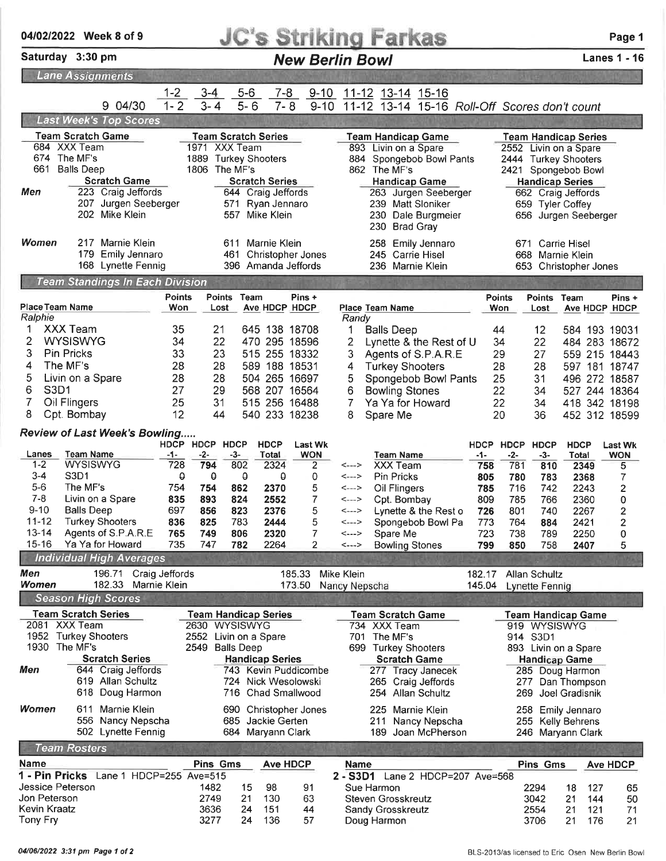| <b>JC's Striking Farkas</b><br>04/02/2022 Week 8 of 9                                              |                                                                                                                                                                                                                                   |                                                               |                                                                                      |                                                                                                                                                                      |                                                                 |                                                                                                                                                                                                      |                                                                    |                                                                                                                                           |                                                                              | Page 1                                                                                                                                                        |                                                                                            |
|----------------------------------------------------------------------------------------------------|-----------------------------------------------------------------------------------------------------------------------------------------------------------------------------------------------------------------------------------|---------------------------------------------------------------|--------------------------------------------------------------------------------------|----------------------------------------------------------------------------------------------------------------------------------------------------------------------|-----------------------------------------------------------------|------------------------------------------------------------------------------------------------------------------------------------------------------------------------------------------------------|--------------------------------------------------------------------|-------------------------------------------------------------------------------------------------------------------------------------------|------------------------------------------------------------------------------|---------------------------------------------------------------------------------------------------------------------------------------------------------------|--------------------------------------------------------------------------------------------|
|                                                                                                    | Saturday 3:30 pm                                                                                                                                                                                                                  |                                                               |                                                                                      |                                                                                                                                                                      |                                                                 | <b>New Berlin Bowl</b>                                                                                                                                                                               |                                                                    |                                                                                                                                           |                                                                              |                                                                                                                                                               | <b>Lanes 1 - 16</b>                                                                        |
| <b>Lane Assignments</b>                                                                            |                                                                                                                                                                                                                                   |                                                               |                                                                                      |                                                                                                                                                                      |                                                                 |                                                                                                                                                                                                      |                                                                    |                                                                                                                                           |                                                                              |                                                                                                                                                               |                                                                                            |
|                                                                                                    | 9 04/30                                                                                                                                                                                                                           | $1 - 2$<br>$1 - 2$                                            | $3 - 4$<br>$3 - 4$                                                                   | $5-6$<br>$5 - 6$                                                                                                                                                     | $9 - 10$<br><u>7-8</u><br>$7 - 8$<br>$9 - 10$                   | <u>11-12</u> 13-14 15-16<br>11-12 13-14 15-16 Roll-Off Scores don't count                                                                                                                            |                                                                    |                                                                                                                                           |                                                                              |                                                                                                                                                               |                                                                                            |
|                                                                                                    | <b>Last Week's Top Scores</b>                                                                                                                                                                                                     |                                                               |                                                                                      |                                                                                                                                                                      |                                                                 |                                                                                                                                                                                                      |                                                                    |                                                                                                                                           |                                                                              |                                                                                                                                                               |                                                                                            |
| 661<br>Men                                                                                         | <b>Team Scratch Game</b><br>684 XXX Team<br>674 The MF's<br><b>Balls Deep</b><br><b>Scratch Game</b><br>223 Craig Jeffords<br>207 Jurgen Seeberger<br>202 Mike Klein                                                              |                                                               | 1971 XXX Team<br>1889<br>1806                                                        | <b>Team Scratch Series</b><br><b>Turkey Shooters</b><br>The MF's<br><b>Scratch Series</b><br>644 Craig Jeffords<br>571 Ryan Jennaro<br>557 Mike Klein                |                                                                 | <b>Team Handicap Game</b><br>893 Livin on a Spare<br>884<br>862 The MF's<br><b>Handicap Game</b><br>239 Matt Sloniker<br>230 Brad Gray                                                               | Spongebob Bowl Pants<br>263 Jurgen Seeberger<br>230 Dale Burgmeier |                                                                                                                                           | <b>Handicap Series</b><br>659 Tyler Coffey                                   | <b>Team Handicap Series</b><br>2552 Livin on a Spare<br>2444 Turkey Shooters<br>2421 Spongebob Bowl<br>662 Craig Jeffords<br>656 Jurgen Seeberger             |                                                                                            |
| Women                                                                                              | 217 Marnie Klein<br>179 Emily Jennaro<br>168 Lynette Fennig                                                                                                                                                                       |                                                               | 461                                                                                  | 611 Marnie Klein<br>396 Amanda Jeffords                                                                                                                              | <b>Christopher Jones</b>                                        | 258 Emily Jennaro<br>245 Carrie Hisel<br>236 Marnie Klein                                                                                                                                            |                                                                    |                                                                                                                                           | 671 Carrie Hisel<br>668 Marnie Klein                                         | 653 Christopher Jones                                                                                                                                         |                                                                                            |
|                                                                                                    | <b>Team Standings In Each Division</b>                                                                                                                                                                                            |                                                               |                                                                                      |                                                                                                                                                                      |                                                                 |                                                                                                                                                                                                      |                                                                    |                                                                                                                                           |                                                                              |                                                                                                                                                               |                                                                                            |
| Place Team Name<br>Ralphie<br>2<br>3<br>4<br>5<br>6<br><b>S3D1</b><br>7<br>8                       | <b>XXX Team</b><br><b>WYSISWYG</b><br><b>Pin Pricks</b><br>The MF's<br>Livin on a Spare<br>Oil Flingers<br>Cpt. Bombay                                                                                                            | Points<br>Won<br>35<br>34<br>33<br>28<br>28<br>27<br>25<br>12 | Lost<br>21<br>22<br>23<br>28<br>28<br>29<br>31<br>44                                 | Points Team<br>Ave HDCP HDCP<br>645 138 18708<br>470 295 18596<br>515 255 18332<br>589 188 18531<br>504 265 16697<br>568 207 16564<br>515 256 16488<br>540 233 18238 | Pins +                                                          | Place Team Name<br>Randy<br><b>Balls Deep</b><br>1<br>2<br>3<br>Agents of S.P.A.R.E<br>4<br><b>Turkey Shooters</b><br>5<br>6<br><b>Bowling Stones</b><br>7<br>Ya Ya for Howard<br>8<br>Spare Me      | Lynette & the Rest of U<br>Spongebob Bowl Pants                    | Points<br><b>Won</b><br>44<br>34<br>29<br>28<br>25<br>22<br>22<br>20                                                                      | <b>Points</b><br>Lost<br>12<br>22<br>27<br>28<br>31<br>34<br>34<br>36        | Team<br>Ave HDCP HDCP<br>584 193 19031<br>484 283 18672<br>559 215 18443<br>597 181 18747<br>496 272 18587<br>527 244 18364<br>418 342 18198<br>452 312 18599 | Pins +                                                                                     |
|                                                                                                    | <b>Review of Last Week's Bowling</b>                                                                                                                                                                                              |                                                               |                                                                                      |                                                                                                                                                                      |                                                                 |                                                                                                                                                                                                      |                                                                    |                                                                                                                                           |                                                                              |                                                                                                                                                               |                                                                                            |
| Lanes<br>$1 - 2$<br>$3 - 4$<br>$5-6$<br>$7 - 8$<br>$9 - 10$<br>$11 - 12$<br>$13 - 14$<br>$15 - 16$ | <b>Team Name</b><br><b>WYSISWYG</b><br>S <sub>3</sub> D <sub>1</sub><br>The MF's<br>Livin on a Spare<br><b>Balls Deep</b><br><b>Turkey Shooters</b><br>Agents of S.P.A.R.E<br>Ya Ya for Howard<br><b>Individual High Averages</b> | -1-<br>728<br>θ<br>754<br>835<br>697<br>836<br>765<br>735     | HDCP HDCP HDCP<br>$-2-$<br>794<br>$\theta$<br>754<br>893<br>856<br>825<br>749<br>747 | <b>HDCP</b><br>$-3-$<br>Total<br>802<br>2324<br>θ<br>θ<br>862<br>2370<br>824<br>2552<br>823<br>2376<br>783<br>2444<br>806<br>2320<br>782<br>2264                     | <b>Last Wk</b><br><b>WON</b><br>2<br>0<br>5<br>7<br>5<br>5<br>2 | <b>Team Name</b><br><b>XXX Team</b><br><---><br><b>Pin Pricks</b><br><---><br>Oil Flingers<br><---><br>Cpt. Bombay<br><---><br><---><br><---><br>Spare Me<br><---><br><b>Bowling Stones</b><br><---> | Lynette & the Rest o<br>Spongebob Bowl Pa                          | HDCP HDCP<br>$-2-$<br>-1-<br>781<br>758<br>805<br>780<br>716<br>785<br>785<br>809<br>726<br>801<br>773<br>764<br>723<br>738<br>799<br>850 | <b>HDCP</b><br>$-3-$<br>810<br>783<br>742<br>766<br>740<br>884<br>789<br>758 | <b>HDCP</b><br>Total<br>2349<br>2368<br>2243<br>2360<br>2267<br>2421<br>2250<br>2407                                                                          | <b>Last Wk</b><br><b>WON</b><br>5<br>7<br>2<br>0<br>$\overline{\mathbf{c}}$<br>2<br>0<br>5 |
| Men                                                                                                | 196.71                                                                                                                                                                                                                            | Craig Jeffords                                                |                                                                                      |                                                                                                                                                                      | 185.33                                                          | Mike Klein                                                                                                                                                                                           |                                                                    | 182.17                                                                                                                                    | Allan Schultz                                                                |                                                                                                                                                               |                                                                                            |
| Women<br>1930<br>Men                                                                               | 182.33<br><b>Season High Scores</b><br><b>Team Scratch Series</b><br>2081 XXX Team<br>1952 Turkey Shooters<br>The MF's<br><b>Scratch Series</b><br>644 Craig Jeffords<br>619 Allan Schultz                                        | Marnie Klein                                                  | 2630 WYSISWYG<br>2549 Balls Deep                                                     | <b>Team Handicap Series</b><br>2552 Livin on a Spare<br><b>Handicap Series</b><br>743 Kevin Puddicombe<br>724 Nick Wesolowski                                        | 173.50                                                          | Nancy Nepscha<br><b>Team Scratch Game</b><br>734 XXX Team<br>701 The MF's<br>699 Turkey Shooters<br><b>Scratch Game</b><br>277 Tracy Janecek<br>265 Craig Jeffords                                   |                                                                    | 145.04                                                                                                                                    | Lynette Fennig<br>919 WYSISWYG<br>914 S3D1<br><b>Handicap Game</b>           | <b>Team Handicap Game</b><br>893 Livin on a Spare<br>285 Doug Harmon<br>277 Dan Thompson                                                                      |                                                                                            |
| Women                                                                                              | 618<br>Doug Harmon<br>Marnie Klein<br>611.<br>556 Nancy Nepscha<br>502 Lynette Fennig                                                                                                                                             |                                                               | 716                                                                                  | <b>Chad Smallwood</b><br>690 Christopher Jones<br>685 Jackie Gerten<br>684 Maryann Clark                                                                             |                                                                 | 254 Allan Schultz<br>225 Marnie Klein                                                                                                                                                                | 211 Nancy Nepscha<br>189 Joan McPherson                            |                                                                                                                                           | 269                                                                          | Joel Gradisnik<br>258 Emily Jennaro<br>255 Kelly Behrens<br>246 Maryann Clark                                                                                 |                                                                                            |
| <b>Team Rosters</b>                                                                                |                                                                                                                                                                                                                                   |                                                               |                                                                                      |                                                                                                                                                                      |                                                                 |                                                                                                                                                                                                      |                                                                    |                                                                                                                                           |                                                                              |                                                                                                                                                               |                                                                                            |
| Name<br>1 - Pin Pricks<br>Jessice Peterson<br>Jon Peterson<br>Kevin Kraatz<br>Tony Fry             |                                                                                                                                                                                                                                   | Lane 1 HDCP=255 Ave=515                                       | <b>Pins Gms</b><br>1482<br>2749<br>3636<br>3277                                      | 15<br>98<br>21<br>130<br>24<br>151<br>136<br>24                                                                                                                      | <b>Ave HDCP</b><br>91<br>63<br>44<br>57                         | <b>Name</b><br>2 - S3D1<br>Sue Harmon<br><b>Steven Grosskreutz</b><br><b>Sandy Grosskreutz</b><br>Doug Harmon                                                                                        | Lane 2 HDCP=207 Ave=568                                            |                                                                                                                                           | <b>Pins Gms</b><br>2294<br>3042<br>2554<br>3706                              | 127<br>18<br>21<br>144<br>21<br>121<br>21<br>176                                                                                                              | <b>Ave HDCP</b><br>65<br>50<br>71<br>21                                                    |